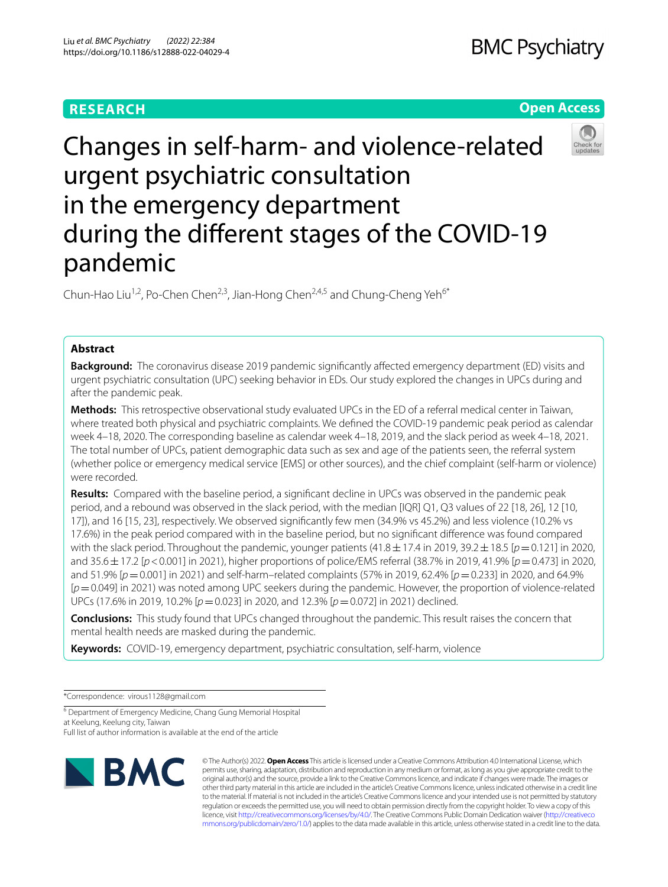# **RESEARCH**





# Changes in self-harm- and violence-related urgent psychiatric consultation in the emergency department during the diferent stages of the COVID-19 pandemic

Chun-Hao Liu<sup>1,2</sup>, Po-Chen Chen<sup>2,3</sup>, Jian-Hong Chen<sup>2,4,5</sup> and Chung-Cheng Yeh<sup>6\*</sup>

# **Abstract**

**Background:** The coronavirus disease 2019 pandemic signifcantly afected emergency department (ED) visits and urgent psychiatric consultation (UPC) seeking behavior in EDs. Our study explored the changes in UPCs during and after the pandemic peak.

**Methods:** This retrospective observational study evaluated UPCs in the ED of a referral medical center in Taiwan, where treated both physical and psychiatric complaints. We defned the COVID-19 pandemic peak period as calendar week 4–18, 2020. The corresponding baseline as calendar week 4–18, 2019, and the slack period as week 4–18, 2021. The total number of UPCs, patient demographic data such as sex and age of the patients seen, the referral system (whether police or emergency medical service [EMS] or other sources), and the chief complaint (self-harm or violence) were recorded.

**Results:** Compared with the baseline period, a signifcant decline in UPCs was observed in the pandemic peak period, and a rebound was observed in the slack period, with the median [IQR] Q1, Q3 values of 22 [18, 26], 12 [10, 17]), and 16 [15, 23], respectively. We observed signifcantly few men (34.9% vs 45.2%) and less violence (10.2% vs 17.6%) in the peak period compared with in the baseline period, but no signifcant diference was found compared with the slack period. Throughout the pandemic, younger patients (41.8  $\pm$  17.4 in 2019, 39.2  $\pm$  18.5 [*p* = 0.121] in 2020, and 35.6±17.2 [*p*<0.001] in 2021), higher proportions of police/EMS referral (38.7% in 2019, 41.9% [*p*=0.473] in 2020, and 51.9% [*p*=0.001] in 2021) and self-harm–related complaints (57% in 2019, 62.4% [*p*=0.233] in 2020, and 64.9% [*p*=0.049] in 2021) was noted among UPC seekers during the pandemic. However, the proportion of violence-related UPCs (17.6% in 2019, 10.2% [*p*=0.023] in 2020, and 12.3% [*p*=0.072] in 2021) declined.

**Conclusions:** This study found that UPCs changed throughout the pandemic. This result raises the concern that mental health needs are masked during the pandemic.

**Keywords:** COVID-19, emergency department, psychiatric consultation, self-harm, violence

\*Correspondence: virous1128@gmail.com

<sup>6</sup> Department of Emergency Medicine, Chang Gung Memorial Hospital at Keelung, Keelung city, Taiwan

Full list of author information is available at the end of the article



© The Author(s) 2022. **Open Access** This article is licensed under a Creative Commons Attribution 4.0 International License, which permits use, sharing, adaptation, distribution and reproduction in any medium or format, as long as you give appropriate credit to the original author(s) and the source, provide a link to the Creative Commons licence, and indicate if changes were made. The images or other third party material in this article are included in the article's Creative Commons licence, unless indicated otherwise in a credit line to the material. If material is not included in the article's Creative Commons licence and your intended use is not permitted by statutory regulation or exceeds the permitted use, you will need to obtain permission directly from the copyright holder. To view a copy of this licence, visit [http://creativecommons.org/licenses/by/4.0/.](http://creativecommons.org/licenses/by/4.0/) The Creative Commons Public Domain Dedication waiver ([http://creativeco](http://creativecommons.org/publicdomain/zero/1.0/) [mmons.org/publicdomain/zero/1.0/](http://creativecommons.org/publicdomain/zero/1.0/)) applies to the data made available in this article, unless otherwise stated in a credit line to the data.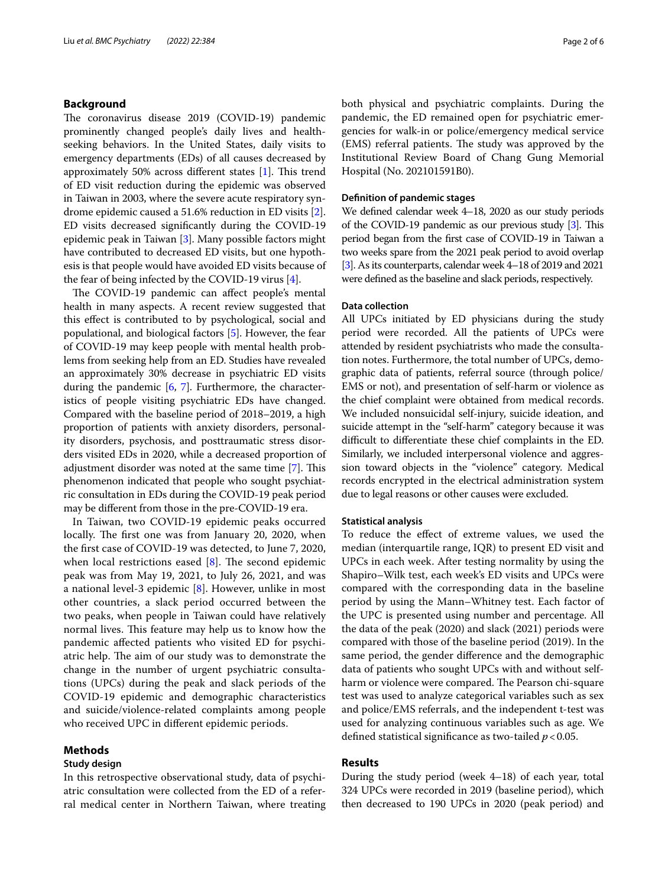#### **Background**

The coronavirus disease 2019 (COVID-19) pandemic prominently changed people's daily lives and healthseeking behaviors. In the United States, daily visits to emergency departments (EDs) of all causes decreased by approximately 50% across different states  $[1]$ . This trend of ED visit reduction during the epidemic was observed in Taiwan in 2003, where the severe acute respiratory syndrome epidemic caused a 51.6% reduction in ED visits [\[2](#page-5-1)]. ED visits decreased signifcantly during the COVID-19 epidemic peak in Taiwan [\[3](#page-5-2)]. Many possible factors might have contributed to decreased ED visits, but one hypothesis is that people would have avoided ED visits because of the fear of being infected by the COVID-19 virus [\[4](#page-5-3)].

The COVID-19 pandemic can affect people's mental health in many aspects. A recent review suggested that this efect is contributed to by psychological, social and populational, and biological factors [[5\]](#page-5-4). However, the fear of COVID-19 may keep people with mental health problems from seeking help from an ED. Studies have revealed an approximately 30% decrease in psychiatric ED visits during the pandemic [\[6](#page-5-5), [7](#page-5-6)]. Furthermore, the characteristics of people visiting psychiatric EDs have changed. Compared with the baseline period of 2018–2019, a high proportion of patients with anxiety disorders, personality disorders, psychosis, and posttraumatic stress disorders visited EDs in 2020, while a decreased proportion of adjustment disorder was noted at the same time [\[7](#page-5-6)]. This phenomenon indicated that people who sought psychiatric consultation in EDs during the COVID-19 peak period may be diferent from those in the pre-COVID-19 era.

In Taiwan, two COVID-19 epidemic peaks occurred locally. The first one was from January 20, 2020, when the frst case of COVID-19 was detected, to June 7, 2020, when local restrictions eased  $[8]$  $[8]$ . The second epidemic peak was from May 19, 2021, to July 26, 2021, and was a national level-3 epidemic [\[8](#page-5-7)]. However, unlike in most other countries, a slack period occurred between the two peaks, when people in Taiwan could have relatively normal lives. This feature may help us to know how the pandemic afected patients who visited ED for psychiatric help. The aim of our study was to demonstrate the change in the number of urgent psychiatric consultations (UPCs) during the peak and slack periods of the COVID-19 epidemic and demographic characteristics and suicide/violence-related complaints among people who received UPC in diferent epidemic periods.

#### **Methods**

#### **Study design**

In this retrospective observational study, data of psychiatric consultation were collected from the ED of a referral medical center in Northern Taiwan, where treating both physical and psychiatric complaints. During the pandemic, the ED remained open for psychiatric emergencies for walk-in or police/emergency medical service (EMS) referral patients. The study was approved by the Institutional Review Board of Chang Gung Memorial Hospital (No. 202101591B0).

#### **Defnition of pandemic stages**

We defned calendar week 4–18, 2020 as our study periods of the COVID-19 pandemic as our previous study [\[3\]](#page-5-2). This period began from the frst case of COVID-19 in Taiwan a two weeks spare from the 2021 peak period to avoid overlap [[3](#page-5-2)]. As its counterparts, calendar week 4–18 of 2019 and 2021 were defned as the baseline and slack periods, respectively.

#### **Data collection**

All UPCs initiated by ED physicians during the study period were recorded. All the patients of UPCs were attended by resident psychiatrists who made the consultation notes. Furthermore, the total number of UPCs, demographic data of patients, referral source (through police/ EMS or not), and presentation of self-harm or violence as the chief complaint were obtained from medical records. We included nonsuicidal self-injury, suicide ideation, and suicide attempt in the "self-harm" category because it was difficult to differentiate these chief complaints in the ED. Similarly, we included interpersonal violence and aggression toward objects in the "violence" category. Medical records encrypted in the electrical administration system due to legal reasons or other causes were excluded.

#### **Statistical analysis**

To reduce the efect of extreme values, we used the median (interquartile range, IQR) to present ED visit and UPCs in each week. After testing normality by using the Shapiro–Wilk test, each week's ED visits and UPCs were compared with the corresponding data in the baseline period by using the Mann–Whitney test. Each factor of the UPC is presented using number and percentage. All the data of the peak (2020) and slack (2021) periods were compared with those of the baseline period (2019). In the same period, the gender diference and the demographic data of patients who sought UPCs with and without selfharm or violence were compared. The Pearson chi-square test was used to analyze categorical variables such as sex and police/EMS referrals, and the independent t-test was used for analyzing continuous variables such as age. We defned statistical signifcance as two-tailed *p*<0.05.

# **Results**

During the study period (week 4–18) of each year, total 324 UPCs were recorded in 2019 (baseline period), which then decreased to 190 UPCs in 2020 (peak period) and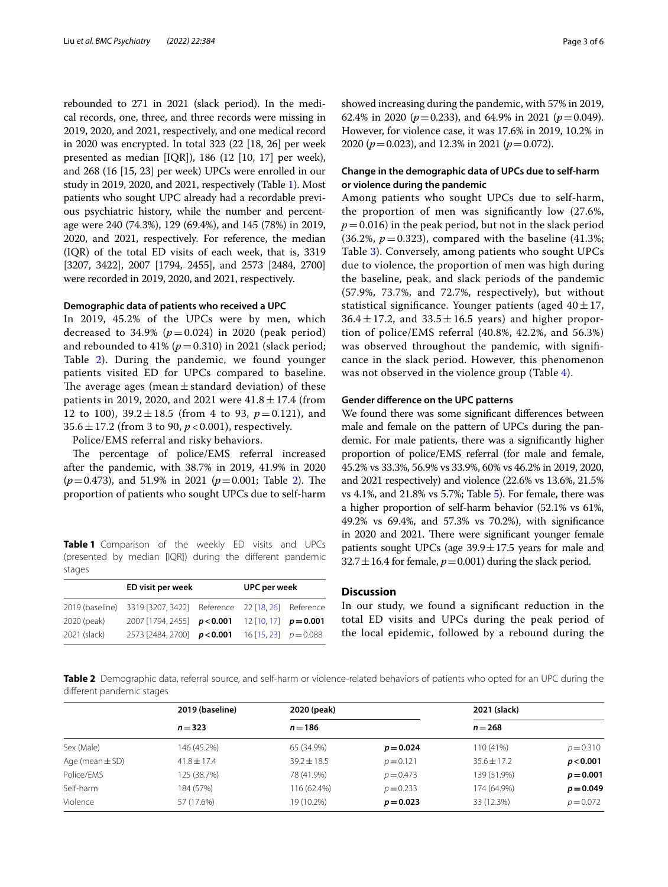rebounded to 271 in 2021 (slack period). In the medical records, one, three, and three records were missing in 2019, 2020, and 2021, respectively, and one medical record in 2020 was encrypted. In total 323 (22 [18, 26] per week presented as median [IQR]), 186 (12 [10, 17] per week), and 268 (16 [15, 23] per week) UPCs were enrolled in our study in 2019, 2020, and 2021, respectively (Table [1\)](#page-2-0). Most patients who sought UPC already had a recordable previous psychiatric history, while the number and percentage were 240 (74.3%), 129 (69.4%), and 145 (78%) in 2019, 2020, and 2021, respectively. For reference, the median (IQR) of the total ED visits of each week, that is, 3319 [3207, 3422], 2007 [1794, 2455], and 2573 [2484, 2700] were recorded in 2019, 2020, and 2021, respectively.

#### **Demographic data of patients who received a UPC**

In 2019, 45.2% of the UPCs were by men, which decreased to 34.9%  $(p=0.024)$  in 2020 (peak period) and rebounded to 41%  $(p=0.310)$  in 2021 (slack period; Table [2\)](#page-2-1). During the pandemic, we found younger patients visited ED for UPCs compared to baseline. The average ages (mean  $\pm$  standard deviation) of these patients in 2019, 2020, and 2021 were  $41.8 \pm 17.4$  (from 12 to 100),  $39.2 \pm 18.5$  (from 4 to 93,  $p = 0.121$ ), and 35.6±17.2 (from 3 to 90, *p* < 0.001), respectively.

Police/EMS referral and risky behaviors.

The percentage of police/EMS referral increased after the pandemic, with 38.7% in 2019, 41.9% in 2020  $(p=0.473)$ , and 51.9% in 2021  $(p=0.001;$  Table [2\)](#page-2-1). The proportion of patients who sought UPCs due to self-harm

<span id="page-2-0"></span>**Table 1** Comparison of the weekly ED visits and UPCs (presented by median [IQR]) during the diferent pandemic stages

|              | UPC per week                                                      |  |  |  |
|--------------|-------------------------------------------------------------------|--|--|--|
|              | 2019 (baseline) 3319 [3207, 3422] Reference 22 [18, 26] Reference |  |  |  |
| 2020 (peak)  | 2007 [1794, 2455] $p < 0.001$ 12 [10, 17] $p = 0.001$             |  |  |  |
| 2021 (slack) | 2573 [2484, 2700] $p < 0.001$ 16 [15, 23] $p = 0.088$             |  |  |  |

showed increasing during the pandemic, with 57% in 2019, 62.4% in 2020 ( $p=0.233$ ), and 64.9% in 2021 ( $p=0.049$ ). However, for violence case, it was 17.6% in 2019, 10.2% in 2020 (*p*=0.023), and 12.3% in 2021 (*p*=0.072).

## **Change in the demographic data of UPCs due to self‑harm or violence during the pandemic**

Among patients who sought UPCs due to self-harm, the proportion of men was signifcantly low (27.6%,  $p = 0.016$ ) in the peak period, but not in the slack period  $(36.2\%, p=0.323)$ , compared with the baseline  $(41.3\%;$ Table [3](#page-3-0)). Conversely, among patients who sought UPCs due to violence, the proportion of men was high during the baseline, peak, and slack periods of the pandemic (57.9%, 73.7%, and 72.7%, respectively), but without statistical significance. Younger patients (aged  $40 \pm 17$ ,  $36.4 \pm 17.2$ , and  $33.5 \pm 16.5$  years) and higher proportion of police/EMS referral (40.8%, 42.2%, and 56.3%) was observed throughout the pandemic, with signifcance in the slack period. However, this phenomenon was not observed in the violence group (Table [4\)](#page-3-1).

#### **Gender diference on the UPC patterns**

We found there was some signifcant diferences between male and female on the pattern of UPCs during the pandemic. For male patients, there was a signifcantly higher proportion of police/EMS referral (for male and female, 45.2% vs 33.3%, 56.9% vs 33.9%, 60% vs 46.2% in 2019, 2020, and 2021 respectively) and violence (22.6% vs 13.6%, 21.5% vs 4.1%, and 21.8% vs 5.7%; Table [5](#page-3-2)). For female, there was a higher proportion of self-harm behavior (52.1% vs 61%, 49.2% vs 69.4%, and 57.3% vs 70.2%), with signifcance in 2020 and 2021. There were significant younger female patients sought UPCs (age  $39.9 \pm 17.5$  years for male and  $32.7 \pm 16.4$  for female,  $p = 0.001$ ) during the slack period.

# **Discussion**

In our study, we found a signifcant reduction in the total ED visits and UPCs during the peak period of the local epidemic, followed by a rebound during the

<span id="page-2-1"></span>**Table 2** Demographic data, referral source, and self-harm or violence-related behaviors of patients who opted for an UPC during the diferent pandemic stages

|                     | 2019 (baseline) | 2020 (peak)     |             | 2021 (slack)    |             |  |
|---------------------|-----------------|-----------------|-------------|-----------------|-------------|--|
|                     | $n = 323$       | $n = 186$       |             | $n = 268$       |             |  |
| Sex (Male)          | 146 (45.2%)     | 65 (34.9%)      | $p = 0.024$ | 110 (41%)       | $p = 0.310$ |  |
| Age (mean $\pm$ SD) | $41.8 \pm 17.4$ | $39.2 \pm 18.5$ | $p = 0.121$ | $35.6 \pm 17.2$ | p < 0.001   |  |
| Police/EMS          | 125 (38.7%)     | 78 (41.9%)      | $p = 0.473$ | 139 (51.9%)     | $p = 0.001$ |  |
| Self-harm           | 184 (57%)       | 116 (62.4%)     | $p = 0.233$ | 174 (64.9%)     | $p = 0.049$ |  |
| Violence            | 57 (17.6%)      | 19 (10.2%)      | $p = 0.023$ | 33 (12.3%)      | $p = 0.072$ |  |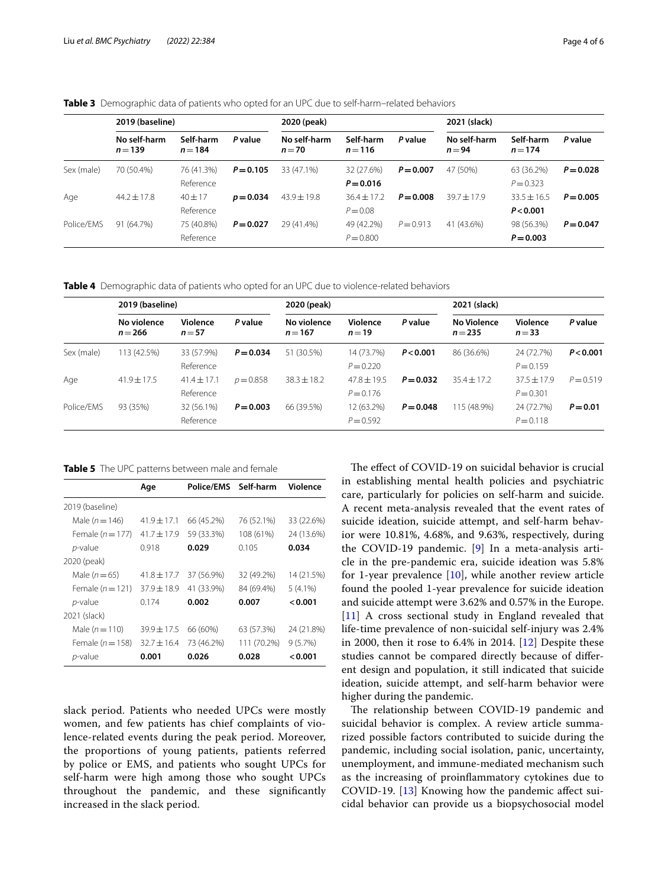<span id="page-3-0"></span>

|  |  |  |  | <b>Table 3</b> Demographic data of patients who opted for an UPC due to self-harm-related behaviors |  |
|--|--|--|--|-----------------------------------------------------------------------------------------------------|--|
|--|--|--|--|-----------------------------------------------------------------------------------------------------|--|

|            | 2019 (baseline)           |                         |             | 2020 (peak)              |                               |             | 2021 (slack)             |                            |             |
|------------|---------------------------|-------------------------|-------------|--------------------------|-------------------------------|-------------|--------------------------|----------------------------|-------------|
|            | No self-harm<br>$n = 139$ | Self-harm<br>$n = 184$  | P value     | No self-harm<br>$n = 70$ | Self-harm<br>$n = 116$        | P value     | No self-harm<br>$n = 94$ | Self-harm<br>$n = 174$     | P value     |
| Sex (male) | 70 (50.4%)                | 76 (41.3%)<br>Reference | $P = 0.105$ | 33 (47.1%)               | 32 (27.6%)<br>$P = 0.016$     | $P = 0.007$ | 47 (50%)                 | 63 (36.2%)<br>$P = 0.323$  | $P = 0.028$ |
| Age        | $44.2 + 17.8$             | $40 + 17$<br>Reference  | $p = 0.034$ | $43.9 + 19.8$            | $36.4 \pm 17.2$<br>$P = 0.08$ | $P = 0.008$ | $39.7 + 17.9$            | $33.5 + 16.5$<br>P < 0.001 | $P = 0.005$ |
| Police/EMS | 91 (64.7%)                | 75 (40.8%)<br>Reference | $P = 0.027$ | 29 (41.4%)               | 49 (42.2%)<br>$P = 0.800$     | $P = 0.913$ | 41 (43.6%)               | 98 (56.3%)<br>$P = 0.003$  | $P = 0.047$ |

<span id="page-3-1"></span>**Table 4** Demographic data of patients who opted for an UPC due to violence-related behaviors

|            | 2019 (baseline)          |                              |             | 2020 (peak)              |                              |             | 2021 (slack)                    |                              |             |
|------------|--------------------------|------------------------------|-------------|--------------------------|------------------------------|-------------|---------------------------------|------------------------------|-------------|
|            | No violence<br>$n = 266$ | Violence<br>$n = 57$         | P value     | No violence<br>$n = 167$ | Violence<br>$n=19$           | P value     | <b>No Violence</b><br>$n = 235$ | Violence<br>$n = 33$         | P value     |
| Sex (male) | 113 (42.5%)              | 33 (57.9%)<br>Reference      | $P = 0.034$ | 51 (30.5%)               | 14 (73.7%)<br>$P = 0.220$    | P < 0.001   | 86 (36.6%)                      | 24 (72.7%)<br>$P = 0.159$    | P < 0.001   |
| Age        | $41.9 + 17.5$            | $41.4 \pm 17.1$<br>Reference | $p = 0.858$ | $38.3 \pm 18.2$          | $47.8 + 19.5$<br>$P = 0.176$ | $P = 0.032$ | $35.4 + 17.2$                   | $37.5 + 17.9$<br>$P = 0.301$ | $P = 0.519$ |
| Police/EMS | 93 (35%)                 | 32 (56.1%)<br>Reference      | $P = 0.003$ | 66 (39.5%)               | 12 (63.2%)<br>$P = 0.592$    | $P = 0.048$ | 115 (48.9%)                     | 24 (72.7%)<br>$P = 0.118$    | $P = 0.01$  |

<span id="page-3-2"></span>**Table 5** The UPC patterns between male and female

|                      | Age             | <b>Police/EMS</b> | Self-harm   | Violence   |
|----------------------|-----------------|-------------------|-------------|------------|
| 2019 (baseline)      |                 |                   |             |            |
| Male $(n = 146)$     | $41.9 \pm 17.1$ | 66 (45.2%)        | 76 (52.1%)  | 33 (22.6%) |
| Female $(n=177)$     | $41.7 + 17.9$   | 59 (33.3%)        | 108 (61%)   | 24 (13.6%) |
| <i>p</i> -value      | 0.918           | 0.029             | 0.105       | 0.034      |
| 2020 (peak)          |                 |                   |             |            |
| Male $(n=65)$        | $41.8 \pm 17.7$ | 37 (56.9%)        | 32 (49.2%)  | 14 (21.5%) |
| Female $(n=121)$     | $37.9 + 18.9$   | 41 (33.9%)        | 84 (69.4%)  | $5(4.1\%)$ |
| $p$ -value           | 0.174           | 0.002             | 0.007       | < 0.001    |
| 2021 (slack)         |                 |                   |             |            |
| Male $(n = 110)$     | 39.9±17.5       | 66 (60%)          | 63 (57.3%)  | 24 (21.8%) |
| Female ( $n = 158$ ) | $32.7 + 16.4$   | 73 (46.2%)        | 111 (70.2%) | 9(5.7%)    |
| <i>p</i> -value      | 0.001           | 0.026             | 0.028       | < 0.001    |

slack period. Patients who needed UPCs were mostly women, and few patients has chief complaints of violence-related events during the peak period. Moreover, the proportions of young patients, patients referred by police or EMS, and patients who sought UPCs for self-harm were high among those who sought UPCs throughout the pandemic, and these signifcantly increased in the slack period.

The effect of COVID-19 on suicidal behavior is crucial in establishing mental health policies and psychiatric care, particularly for policies on self-harm and suicide. A recent meta-analysis revealed that the event rates of suicide ideation, suicide attempt, and self-harm behavior were 10.81%, 4.68%, and 9.63%, respectively, during the COVID-19 pandemic. [[9\]](#page-5-14) In a meta-analysis article in the pre-pandemic era, suicide ideation was 5.8% for 1-year prevalence [\[10](#page-5-10)], while another review article found the pooled 1-year prevalence for suicide ideation and suicide attempt were 3.62% and 0.57% in the Europe. [[11\]](#page-5-15) A cross sectional study in England revealed that life-time prevalence of non-suicidal self-injury was 2.4% in 2000, then it rose to 6.4% in 2014. [\[12](#page-5-16)] Despite these studies cannot be compared directly because of diferent design and population, it still indicated that suicide ideation, suicide attempt, and self-harm behavior were higher during the pandemic.

The relationship between COVID-19 pandemic and suicidal behavior is complex. A review article summarized possible factors contributed to suicide during the pandemic, including social isolation, panic, uncertainty, unemployment, and immune-mediated mechanism such as the increasing of proinfammatory cytokines due to COVID-19. [\[13](#page-5-17)] Knowing how the pandemic afect suicidal behavior can provide us a biopsychosocial model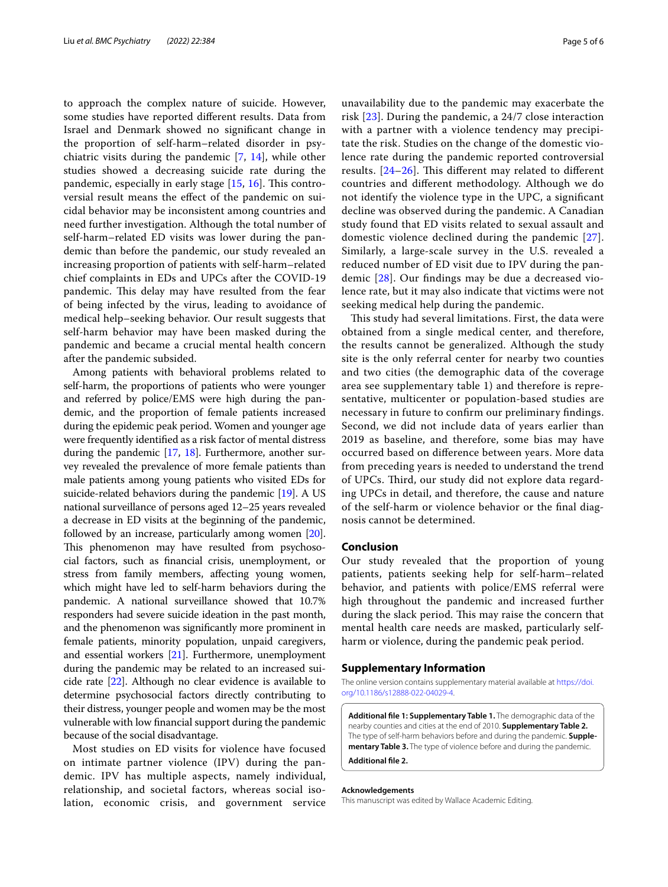to approach the complex nature of suicide. However, some studies have reported diferent results. Data from Israel and Denmark showed no signifcant change in the proportion of self-harm–related disorder in psychiatric visits during the pandemic [\[7](#page-5-6), [14](#page-5-18)], while other studies showed a decreasing suicide rate during the pandemic, especially in early stage  $[15, 16]$  $[15, 16]$  $[15, 16]$  $[15, 16]$ . This controversial result means the efect of the pandemic on suicidal behavior may be inconsistent among countries and need further investigation. Although the total number of self-harm–related ED visits was lower during the pandemic than before the pandemic, our study revealed an increasing proportion of patients with self-harm–related chief complaints in EDs and UPCs after the COVID-19 pandemic. This delay may have resulted from the fear of being infected by the virus, leading to avoidance of medical help–seeking behavior. Our result suggests that self-harm behavior may have been masked during the pandemic and became a crucial mental health concern after the pandemic subsided.

Among patients with behavioral problems related to self-harm, the proportions of patients who were younger and referred by police/EMS were high during the pandemic, and the proportion of female patients increased during the epidemic peak period. Women and younger age were frequently identifed as a risk factor of mental distress during the pandemic [\[17,](#page-5-11) [18](#page-5-8)]. Furthermore, another survey revealed the prevalence of more female patients than male patients among young patients who visited EDs for suicide-related behaviors during the pandemic [[19](#page-5-20)]. A US national surveillance of persons aged 12–25 years revealed a decrease in ED visits at the beginning of the pandemic, followed by an increase, particularly among women  $[20]$  $[20]$  $[20]$ . This phenomenon may have resulted from psychosocial factors, such as fnancial crisis, unemployment, or stress from family members, afecting young women, which might have led to self-harm behaviors during the pandemic. A national surveillance showed that 10.7% responders had severe suicide ideation in the past month, and the phenomenon was signifcantly more prominent in female patients, minority population, unpaid caregivers, and essential workers [[21\]](#page-5-22). Furthermore, unemployment during the pandemic may be related to an increased suicide rate [[22](#page-5-23)]. Although no clear evidence is available to determine psychosocial factors directly contributing to their distress, younger people and women may be the most vulnerable with low fnancial support during the pandemic because of the social disadvantage.

Most studies on ED visits for violence have focused on intimate partner violence (IPV) during the pandemic. IPV has multiple aspects, namely individual, relationship, and societal factors, whereas social isolation, economic crisis, and government service unavailability due to the pandemic may exacerbate the risk [\[23](#page-5-13)]. During the pandemic, a 24/7 close interaction with a partner with a violence tendency may precipitate the risk. Studies on the change of the domestic violence rate during the pandemic reported controversial results.  $[24-26]$  $[24-26]$  $[24-26]$ . This different may related to different countries and diferent methodology. Although we do not identify the violence type in the UPC, a signifcant decline was observed during the pandemic. A Canadian study found that ED visits related to sexual assault and domestic violence declined during the pandemic [[27](#page-5-25)]. Similarly, a large-scale survey in the U.S. revealed a reduced number of ED visit due to IPV during the pandemic [\[28](#page-5-26)]. Our fndings may be due a decreased violence rate, but it may also indicate that victims were not seeking medical help during the pandemic.

This study had several limitations. First, the data were obtained from a single medical center, and therefore, the results cannot be generalized. Although the study site is the only referral center for nearby two counties and two cities (the demographic data of the coverage area see supplementary table 1) and therefore is representative, multicenter or population-based studies are necessary in future to confrm our preliminary fndings. Second, we did not include data of years earlier than 2019 as baseline, and therefore, some bias may have occurred based on diference between years. More data from preceding years is needed to understand the trend of UPCs. Third, our study did not explore data regarding UPCs in detail, and therefore, the cause and nature of the self-harm or violence behavior or the fnal diagnosis cannot be determined.

#### **Conclusion**

Our study revealed that the proportion of young patients, patients seeking help for self-harm–related behavior, and patients with police/EMS referral were high throughout the pandemic and increased further during the slack period. This may raise the concern that mental health care needs are masked, particularly selfharm or violence, during the pandemic peak period.

#### **Supplementary Information**

The online version contains supplementary material available at [https://doi.](https://doi.org/10.1186/s12888-022-04029-4) [org/10.1186/s12888-022-04029-4](https://doi.org/10.1186/s12888-022-04029-4).

**Additional fle 1: Supplementary Table 1.** The demographic data of the nearby counties and cities at the end of 2010. **Supplementary Table 2.** The type of self-harm behaviors before and during the pandemic. **Supple‑ mentary Table 3.** The type of violence before and during the pandemic. **Additional fle 2.**

#### **Acknowledgements**

This manuscript was edited by Wallace Academic Editing.